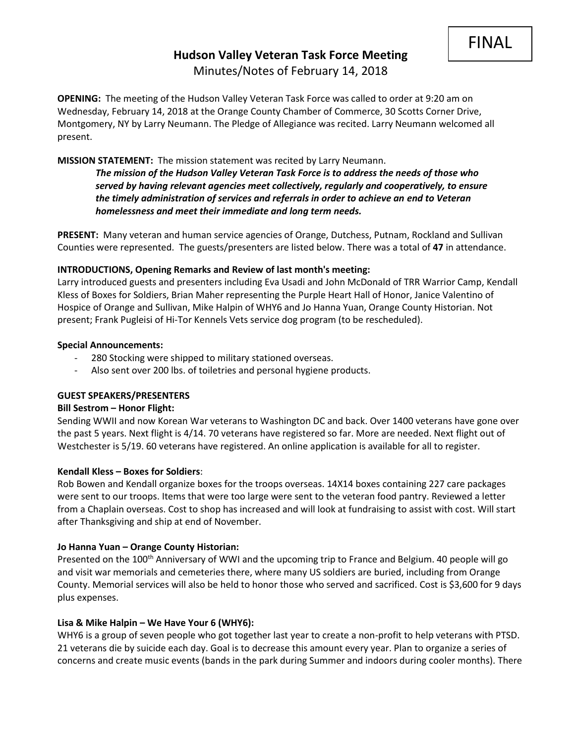# **Hudson Valley Veteran Task Force Meeting**  Minutes/Notes of February 14, 2018

**OPENING:** The meeting of the Hudson Valley Veteran Task Force was called to order at 9:20 am on Wednesday, February 14, 2018 at the Orange County Chamber of Commerce, 30 Scotts Corner Drive, Montgomery, NY by Larry Neumann. The Pledge of Allegiance was recited. Larry Neumann welcomed all present.

#### **MISSION STATEMENT:** The mission statement was recited by Larry Neumann.

*The mission of the Hudson Valley Veteran Task Force is to address the needs of those who served by having relevant agencies meet collectively, regularly and cooperatively, to ensure the timely administration of services and referrals in order to achieve an end to Veteran homelessness and meet their immediate and long term needs.* 

**PRESENT:** Many veteran and human service agencies of Orange, Dutchess, Putnam, Rockland and Sullivan Counties were represented. The guests/presenters are listed below. There was a total of **47** in attendance.

#### **INTRODUCTIONS, Opening Remarks and Review of last month's meeting:**

Larry introduced guests and presenters including Eva Usadi and John McDonald of TRR Warrior Camp, Kendall Kless of Boxes for Soldiers, Brian Maher representing the Purple Heart Hall of Honor, Janice Valentino of Hospice of Orange and Sullivan, Mike Halpin of WHY6 and Jo Hanna Yuan, Orange County Historian. Not present; Frank Pugleisi of Hi-Tor Kennels Vets service dog program (to be rescheduled).

#### **Special Announcements:**

- 280 Stocking were shipped to military stationed overseas.
- Also sent over 200 lbs. of toiletries and personal hygiene products.

#### **GUEST SPEAKERS/PRESENTERS**

#### **Bill Sestrom – Honor Flight:**

Sending WWII and now Korean War veterans to Washington DC and back. Over 1400 veterans have gone over the past 5 years. Next flight is 4/14. 70 veterans have registered so far. More are needed. Next flight out of Westchester is 5/19. 60 veterans have registered. An online application is available for all to register.

#### **Kendall Kless – Boxes for Soldiers**:

Rob Bowen and Kendall organize boxes for the troops overseas. 14X14 boxes containing 227 care packages were sent to our troops. Items that were too large were sent to the veteran food pantry. Reviewed a letter from a Chaplain overseas. Cost to shop has increased and will look at fundraising to assist with cost. Will start after Thanksgiving and ship at end of November.

#### **Jo Hanna Yuan – Orange County Historian:**

Presented on the 100<sup>th</sup> Anniversary of WWI and the upcoming trip to France and Belgium. 40 people will go and visit war memorials and cemeteries there, where many US soldiers are buried, including from Orange County. Memorial services will also be held to honor those who served and sacrificed. Cost is \$3,600 for 9 days plus expenses.

#### **Lisa & Mike Halpin – We Have Your 6 (WHY6):**

WHY6 is a group of seven people who got together last year to create a non-profit to help veterans with PTSD. 21 veterans die by suicide each day. Goal is to decrease this amount every year. Plan to organize a series of concerns and create music events (bands in the park during Summer and indoors during cooler months). There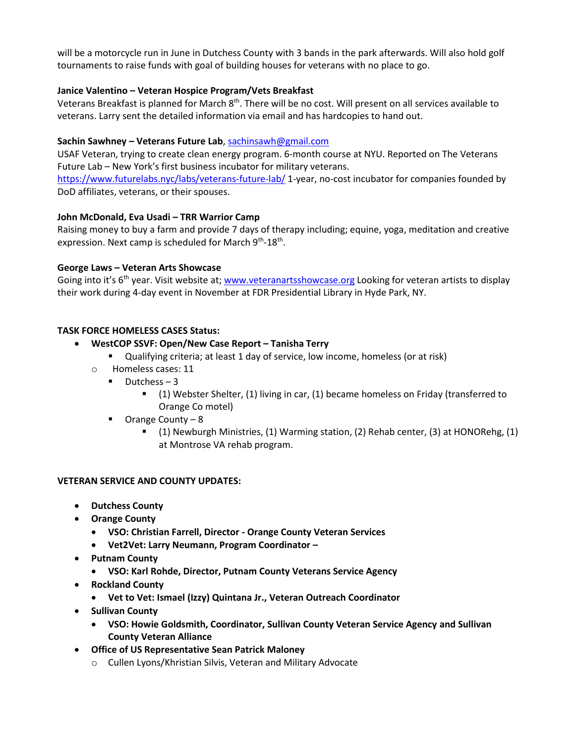will be a motorcycle run in June in Dutchess County with 3 bands in the park afterwards. Will also hold golf tournaments to raise funds with goal of building houses for veterans with no place to go.

## **Janice Valentino – Veteran Hospice Program/Vets Breakfast**

Veterans Breakfast is planned for March 8<sup>th</sup>. There will be no cost. Will present on all services available to veterans. Larry sent the detailed information via email and has hardcopies to hand out.

## **Sachin Sawhney – Veterans Future Lab**[, sachinsawh@gmail.com](mailto:sachinsawh@gmail.com)

USAF Veteran, trying to create clean energy program. 6-month course at NYU. Reported on The Veterans Future Lab – New York's first business incubator for military veterans.

<https://www.futurelabs.nyc/labs/veterans-future-lab/> 1-year, no-cost incubator for companies founded by DoD affiliates, veterans, or their spouses.

## **John McDonald, Eva Usadi – TRR Warrior Camp**

Raising money to buy a farm and provide 7 days of therapy including; equine, yoga, meditation and creative expression. Next camp is scheduled for March 9<sup>th</sup>-18<sup>th</sup>.

#### **George Laws – Veteran Arts Showcase**

Going into it's 6<sup>th</sup> year. Visit website at[; www.veteranartsshowcase.org](http://www.veteranartsshowcase.org/) Looking for veteran artists to display their work during 4-day event in November at FDR Presidential Library in Hyde Park, NY.

## **TASK FORCE HOMELESS CASES Status:**

## • **WestCOP SSVF: Open/New Case Report – Tanisha Terry**

- Qualifying criteria; at least 1 day of service, low income, homeless (or at risk)
- o Homeless cases: 11
	- $\blacksquare$  Dutchess 3
		- (1) Webster Shelter, (1) living in car, (1) became homeless on Friday (transferred to Orange Co motel)
	- Orange County 8
		- (1) Newburgh Ministries, (1) Warming station, (2) Rehab center, (3) at HONORehg, (1) at Montrose VA rehab program.

#### **VETERAN SERVICE AND COUNTY UPDATES:**

- **Dutchess County**
- **Orange County**
	- **VSO: Christian Farrell, Director - Orange County Veteran Services**
	- **Vet2Vet: Larry Neumann, Program Coordinator –**
- **Putnam County**
	- **VSO: Karl Rohde, Director, Putnam County Veterans Service Agency**
- **Rockland County**
	- **Vet to Vet: Ismael (Izzy) Quintana Jr., Veteran Outreach Coordinator**
- **Sullivan County**
	- **VSO: Howie Goldsmith, Coordinator, Sullivan County Veteran Service Agency and Sullivan County Veteran Alliance**
- **Office of US Representative Sean Patrick Maloney**
	- o Cullen Lyons/Khristian Silvis, Veteran and Military Advocate